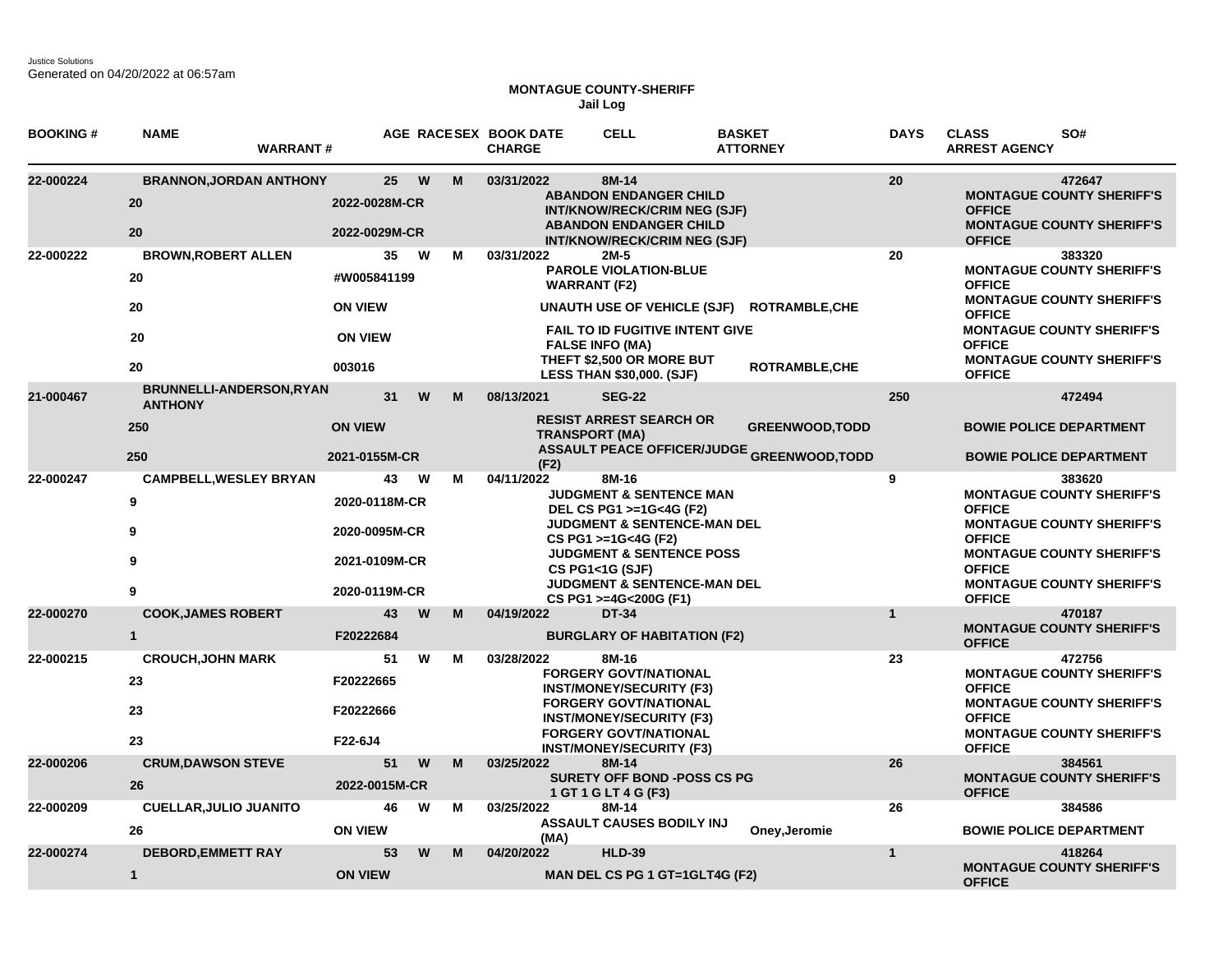## **MONTAGUE COUNTY-SHERIFF Jail Log**

| <b>BOOKING#</b> | <b>NAME</b><br><b>WARRANT#</b>                                  |                                                                        |        | AGE RACESEX BOOK DATE<br><b>CHARGE</b> | <b>CELL</b>                                                                                                                                                                                                                                              | <b>BASKET</b><br><b>ATTORNEY</b>                                            | <b>DAYS</b>  | SO#<br><b>CLASS</b><br><b>ARREST AGENCY</b>                                                                                                                                                                                |
|-----------------|-----------------------------------------------------------------|------------------------------------------------------------------------|--------|----------------------------------------|----------------------------------------------------------------------------------------------------------------------------------------------------------------------------------------------------------------------------------------------------------|-----------------------------------------------------------------------------|--------------|----------------------------------------------------------------------------------------------------------------------------------------------------------------------------------------------------------------------------|
| 22-000224       | <b>BRANNON, JORDAN ANTHONY</b><br>20<br>20                      | 25<br>2022-0028M-CR<br>2022-0029M-CR                                   | W<br>M | 03/31/2022                             | 8M-14<br><b>ABANDON ENDANGER CHILD</b><br>INT/KNOW/RECK/CRIM NEG (SJF)<br><b>ABANDON ENDANGER CHILD</b><br><b>INT/KNOW/RECK/CRIM NEG (SJF)</b>                                                                                                           |                                                                             | 20           | 472647<br><b>MONTAGUE COUNTY SHERIFF'S</b><br><b>OFFICE</b><br><b>MONTAGUE COUNTY SHERIFF'S</b><br><b>OFFICE</b>                                                                                                           |
| 22-000222       | <b>BROWN, ROBERT ALLEN</b><br>20<br>20<br>20<br>20              | 35<br>#W005841199<br><b>ON VIEW</b><br><b>ON VIEW</b><br>003016        | M<br>w | 03/31/2022                             | $2M-5$<br><b>PAROLE VIOLATION-BLUE</b><br><b>WARRANT (F2)</b><br>UNAUTH USE OF VEHICLE (SJF)<br><b>FAIL TO ID FUGITIVE INTENT GIVE</b><br><b>FALSE INFO (MA)</b><br>THEFT \$2,500 OR MORE BUT<br><b>LESS THAN \$30,000. (SJF)</b>                        | <b>ROTRAMBLE, CHE</b><br><b>ROTRAMBLE,CHE</b>                               | 20           | 383320<br><b>MONTAGUE COUNTY SHERIFF'S</b><br><b>OFFICE</b><br><b>MONTAGUE COUNTY SHERIFF'S</b><br><b>OFFICE</b><br><b>MONTAGUE COUNTY SHERIFF'S</b><br><b>OFFICE</b><br><b>MONTAGUE COUNTY SHERIFF'S</b><br><b>OFFICE</b> |
| 21-000467       | <b>BRUNNELLI-ANDERSON, RYAN</b><br><b>ANTHONY</b><br>250<br>250 | 31<br><b>ON VIEW</b><br>2021-0155M-CR                                  | W<br>M | 08/13/2021<br>(F2)                     | <b>SEG-22</b><br><b>RESIST ARREST SEARCH OR</b><br><b>TRANSPORT (MA)</b>                                                                                                                                                                                 | <b>GREENWOOD, TODD</b><br><b>ASSAULT PEACE OFFICER/JUDGE GREENWOOD,TODD</b> | 250          | 472494<br><b>BOWIE POLICE DEPARTMENT</b><br><b>BOWIE POLICE DEPARTMENT</b>                                                                                                                                                 |
| 22-000247       | <b>CAMPBELL, WESLEY BRYAN</b><br>9<br>9<br>9<br>9               | 43<br>2020-0118M-CR<br>2020-0095M-CR<br>2021-0109M-CR<br>2020-0119M-CR | M<br>w | 04/11/2022                             | 8M-16<br>JUDGMENT & SENTENCE MAN<br>DEL CS PG1 >=1G<4G (F2)<br>JUDGMENT & SENTENCE-MAN DEL<br>CS PG1 >=1G<4G (F2)<br><b>JUDGMENT &amp; SENTENCE POSS</b><br><b>CS PG1&lt;1G (SJF)</b><br><b>JUDGMENT &amp; SENTENCE-MAN DEL</b><br>CS PG1 >=4G<200G (F1) |                                                                             | 9            | 383620<br><b>MONTAGUE COUNTY SHERIFF'S</b><br><b>OFFICE</b><br><b>MONTAGUE COUNTY SHERIFF'S</b><br><b>OFFICE</b><br><b>MONTAGUE COUNTY SHERIFF'S</b><br><b>OFFICE</b><br><b>MONTAGUE COUNTY SHERIFF'S</b><br><b>OFFICE</b> |
| 22-000270       | <b>COOK, JAMES ROBERT</b><br>$\mathbf{1}$                       | 43<br>F20222684                                                        | W<br>M | 04/19/2022                             | <b>DT-34</b><br><b>BURGLARY OF HABITATION (F2)</b>                                                                                                                                                                                                       |                                                                             | $\mathbf{1}$ | 470187<br><b>MONTAGUE COUNTY SHERIFF'S</b><br><b>OFFICE</b>                                                                                                                                                                |
| 22-000215       | <b>CROUCH, JOHN MARK</b><br>23<br>23<br>23                      | 51<br>F20222665<br>F20222666<br>F22-6J4                                | M<br>W | 03/28/2022                             | 8M-16<br><b>FORGERY GOVT/NATIONAL</b><br><b>INST/MONEY/SECURITY (F3)</b><br><b>FORGERY GOVT/NATIONAL</b><br><b>INST/MONEY/SECURITY (F3)</b><br><b>FORGERY GOVT/NATIONAL</b><br><b>INST/MONEY/SECURITY (F3)</b>                                           |                                                                             | 23           | 472756<br><b>MONTAGUE COUNTY SHERIFF'S</b><br><b>OFFICE</b><br><b>MONTAGUE COUNTY SHERIFF'S</b><br><b>OFFICE</b><br><b>MONTAGUE COUNTY SHERIFF'S</b><br><b>OFFICE</b>                                                      |
| 22-000206       | <b>CRUM, DAWSON STEVE</b><br>26                                 | 51<br>2022-0015M-CR                                                    | M<br>W | 03/25/2022                             | 8M-14<br><b>SURETY OFF BOND -POSS CS PG</b><br>1 GT 1 G LT 4 G (F3)                                                                                                                                                                                      |                                                                             | 26           | 384561<br><b>MONTAGUE COUNTY SHERIFF'S</b><br><b>OFFICE</b>                                                                                                                                                                |
| 22-000209       | <b>CUELLAR, JULIO JUANITO</b><br>26                             | 46<br><b>ON VIEW</b>                                                   | W<br>м | 03/25/2022<br>(MA)                     | 8M-14<br><b>ASSAULT CAUSES BODILY INJ</b>                                                                                                                                                                                                                | Oney, Jeromie                                                               | 26           | 384586<br><b>BOWIE POLICE DEPARTMENT</b>                                                                                                                                                                                   |
| 22-000274       | <b>DEBORD, EMMETT RAY</b><br>$\mathbf{1}$                       | 53<br><b>ON VIEW</b>                                                   | W<br>M | 04/20/2022                             | <b>HLD-39</b><br>MAN DEL CS PG 1 GT=1GLT4G (F2)                                                                                                                                                                                                          |                                                                             | $\mathbf{1}$ | 418264<br><b>MONTAGUE COUNTY SHERIFF'S</b><br><b>OFFICE</b>                                                                                                                                                                |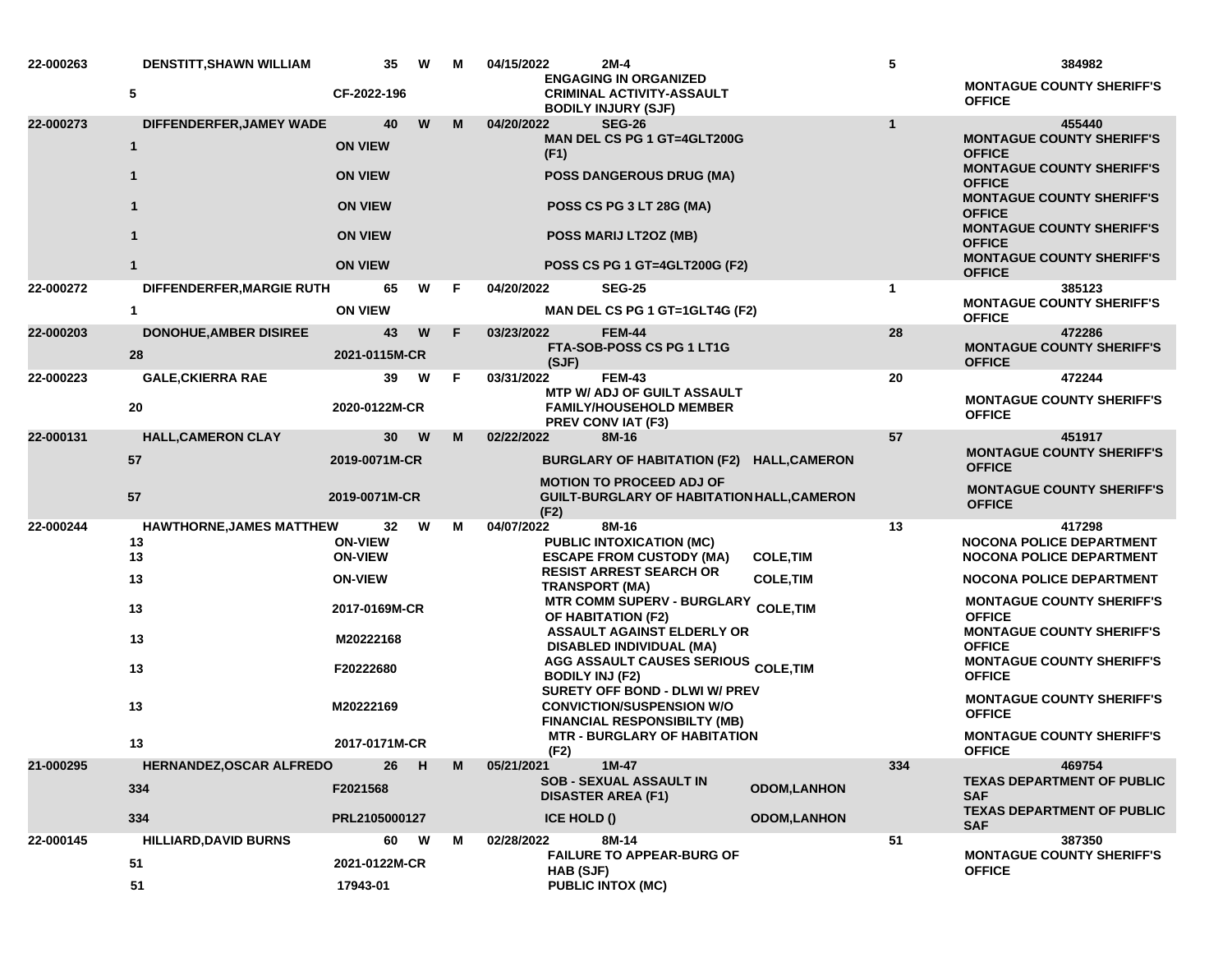| 22-000263 | DENSTITT, SHAWN WILLIAM            | 35                               | W             | М | 04/15/2022                                                                                                                                                                          | 2M-4                                                                                           | 5                                                                                     | 384982                                                             |  |
|-----------|------------------------------------|----------------------------------|---------------|---|-------------------------------------------------------------------------------------------------------------------------------------------------------------------------------------|------------------------------------------------------------------------------------------------|---------------------------------------------------------------------------------------|--------------------------------------------------------------------|--|
|           | 5                                  | CF-2022-196                      |               |   |                                                                                                                                                                                     | <b>ENGAGING IN ORGANIZED</b><br><b>CRIMINAL ACTIVITY-ASSAULT</b><br><b>BODILY INJURY (SJF)</b> |                                                                                       | <b>MONTAGUE COUNTY SHERIFF'S</b><br><b>OFFICE</b>                  |  |
| 22-000273 | DIFFENDERFER, JAMEY WADE           | 40                               | W             | M | 04/20/2022                                                                                                                                                                          | <b>SEG-26</b>                                                                                  | $\mathbf{1}$                                                                          | 455440                                                             |  |
|           | $\mathbf{1}$                       | <b>ON VIEW</b>                   |               |   |                                                                                                                                                                                     | <b>MAN DEL CS PG 1 GT=4GLT200G</b><br>(F1)                                                     |                                                                                       | <b>MONTAGUE COUNTY SHERIFF'S</b><br><b>OFFICE</b>                  |  |
|           | $\mathbf{1}$                       | <b>ON VIEW</b>                   |               |   |                                                                                                                                                                                     | <b>POSS DANGEROUS DRUG (MA)</b>                                                                |                                                                                       | <b>MONTAGUE COUNTY SHERIFF'S</b><br><b>OFFICE</b>                  |  |
|           | $\mathbf{1}$                       | <b>ON VIEW</b>                   |               |   |                                                                                                                                                                                     | POSS CS PG 3 LT 28G (MA)                                                                       |                                                                                       | <b>MONTAGUE COUNTY SHERIFF'S</b><br><b>OFFICE</b>                  |  |
|           | $\mathbf 1$                        | <b>ON VIEW</b>                   |               |   | POSS MARIJ LT2OZ (MB)                                                                                                                                                               |                                                                                                | <b>MONTAGUE COUNTY SHERIFF'S</b><br><b>OFFICE</b><br><b>MONTAGUE COUNTY SHERIFF'S</b> |                                                                    |  |
|           | $\mathbf{1}$                       | <b>ON VIEW</b>                   |               |   |                                                                                                                                                                                     | POSS CS PG 1 GT=4GLT200G (F2)                                                                  |                                                                                       | <b>OFFICE</b>                                                      |  |
| 22-000272 | DIFFENDERFER, MARGIE RUTH          | 65                               | W             | F | 04/20/2022                                                                                                                                                                          | <b>SEG-25</b>                                                                                  | $\mathbf 1$                                                                           | 385123                                                             |  |
|           | $\mathbf{1}$                       | <b>ON VIEW</b>                   |               |   |                                                                                                                                                                                     | MAN DEL CS PG 1 GT=1GLT4G (F2)                                                                 |                                                                                       | <b>MONTAGUE COUNTY SHERIFF'S</b><br><b>OFFICE</b>                  |  |
| 22-000203 | <b>DONOHUE, AMBER DISIREE</b>      | 43                               | W             | F | 03/23/2022                                                                                                                                                                          | <b>FEM-44</b><br>FTA-SOB-POSS CS PG 1 LT1G                                                     | 28                                                                                    | 472286<br><b>MONTAGUE COUNTY SHERIFF'S</b>                         |  |
|           | 28                                 | 2021-0115M-CR                    |               |   | (SJF)                                                                                                                                                                               |                                                                                                |                                                                                       | <b>OFFICE</b>                                                      |  |
| 22-000223 | <b>GALE, CKIERRA RAE</b>           | 39                               | W             | F | 03/31/2022                                                                                                                                                                          | <b>FEM-43</b>                                                                                  | 20                                                                                    | 472244                                                             |  |
|           | 20                                 | 2020-0122M-CR                    |               |   |                                                                                                                                                                                     | <b>MTP W/ ADJ OF GUILT ASSAULT</b><br><b>FAMILY/HOUSEHOLD MEMBER</b><br>PREV CONV IAT (F3)     |                                                                                       | <b>MONTAGUE COUNTY SHERIFF'S</b><br><b>OFFICE</b>                  |  |
| 22-000131 | <b>HALL, CAMERON CLAY</b>          | 30                               | W             | M | 02/22/2022                                                                                                                                                                          | 8M-16                                                                                          | 57                                                                                    | 451917                                                             |  |
|           | 57                                 | 2019-0071M-CR                    |               |   | BURGLARY OF HABITATION (F2) HALL, CAMERON                                                                                                                                           |                                                                                                |                                                                                       | <b>MONTAGUE COUNTY SHERIFF'S</b><br><b>OFFICE</b>                  |  |
|           | 57                                 | 2019-0071M-CR                    |               |   |                                                                                                                                                                                     | <b>MOTION TO PROCEED ADJ OF</b><br><b>GUILT-BURGLARY OF HABITATION HALL, CAMERON</b><br>(F2)   |                                                                                       | <b>MONTAGUE COUNTY SHERIFF'S</b><br><b>OFFICE</b>                  |  |
| 22-000244 | <b>HAWTHORNE, JAMES MATTHEW</b>    | 32                               | W             | М | 04/07/2022                                                                                                                                                                          | 8M-16                                                                                          | 13                                                                                    | 417298                                                             |  |
|           | 13<br>13                           | <b>ON-VIEW</b><br><b>ON-VIEW</b> |               |   |                                                                                                                                                                                     | <b>PUBLIC INTOXICATION (MC)</b><br><b>ESCAPE FROM CUSTODY (MA)</b>                             | <b>COLE, TIM</b>                                                                      | <b>NOCONA POLICE DEPARTMENT</b><br><b>NOCONA POLICE DEPARTMENT</b> |  |
|           | 13                                 | <b>ON-VIEW</b>                   | 2017-0169M-CR |   | <b>RESIST ARREST SEARCH OR</b><br><b>TRANSPORT (MA)</b><br><b>MTR COMM SUPERV - BURGLARY</b><br>OF HABITATION (F2)<br><b>ASSAULT AGAINST ELDERLY OR</b><br>DISABLED INDIVIDUAL (MA) | <b>COLE, TIM</b><br><b>COLE, TIM</b>                                                           | <b>NOCONA POLICE DEPARTMENT</b>                                                       |                                                                    |  |
|           | 13                                 |                                  |               |   |                                                                                                                                                                                     |                                                                                                | <b>MONTAGUE COUNTY SHERIFF'S</b><br><b>OFFICE</b>                                     |                                                                    |  |
|           | 13                                 | M20222168                        |               |   |                                                                                                                                                                                     |                                                                                                | <b>MONTAGUE COUNTY SHERIFF'S</b><br><b>OFFICE</b>                                     |                                                                    |  |
|           | 13                                 | F20222680                        |               |   |                                                                                                                                                                                     | <b>AGG ASSAULT CAUSES SERIOUS COLE,TIM</b><br><b>BODILY INJ (F2)</b>                           |                                                                                       | <b>MONTAGUE COUNTY SHERIFF'S</b><br><b>OFFICE</b>                  |  |
|           | 13                                 | M20222169                        |               |   | SURETY OFF BOND - DLWI W/ PREV<br><b>CONVICTION/SUSPENSION W/O</b><br><b>FINANCIAL RESPONSIBILTY (MB)</b>                                                                           |                                                                                                |                                                                                       | <b>MONTAGUE COUNTY SHERIFF'S</b><br><b>OFFICE</b>                  |  |
|           | 13                                 | 2017-0171M-CR                    |               |   | <b>MTR - BURGLARY OF HABITATION</b><br>(F2)                                                                                                                                         |                                                                                                |                                                                                       | <b>MONTAGUE COUNTY SHERIFF'S</b><br><b>OFFICE</b>                  |  |
| 21-000295 | HERNANDEZ, OSCAR ALFREDO           | 26                               | H             | M | 05/21/2021                                                                                                                                                                          | $1M-47$                                                                                        | 334                                                                                   | 469754                                                             |  |
|           | 334                                | F2021568                         |               |   |                                                                                                                                                                                     | <b>SOB - SEXUAL ASSAULT IN</b><br><b>DISASTER AREA (F1)</b>                                    | <b>ODOM, LANHON</b>                                                                   | <b>TEXAS DEPARTMENT OF PUBLIC</b><br><b>SAF</b>                    |  |
|           | 334                                | PRL2105000127                    |               |   |                                                                                                                                                                                     | ICE HOLD ()                                                                                    | <b>ODOM, LANHON</b>                                                                   | <b>TEXAS DEPARTMENT OF PUBLIC</b><br><b>SAF</b>                    |  |
| 22-000145 | <b>HILLIARD, DAVID BURNS</b><br>51 | 60<br>2021-0122M-CR              | W             | М | 02/28/2022                                                                                                                                                                          | 8M-14<br><b>FAILURE TO APPEAR-BURG OF</b>                                                      | 51                                                                                    | 387350<br><b>MONTAGUE COUNTY SHERIFF'S</b>                         |  |
|           | 51                                 | 17943-01                         |               |   | HAB (SJF)<br><b>PUBLIC INTOX (MC)</b>                                                                                                                                               |                                                                                                |                                                                                       | <b>OFFICE</b>                                                      |  |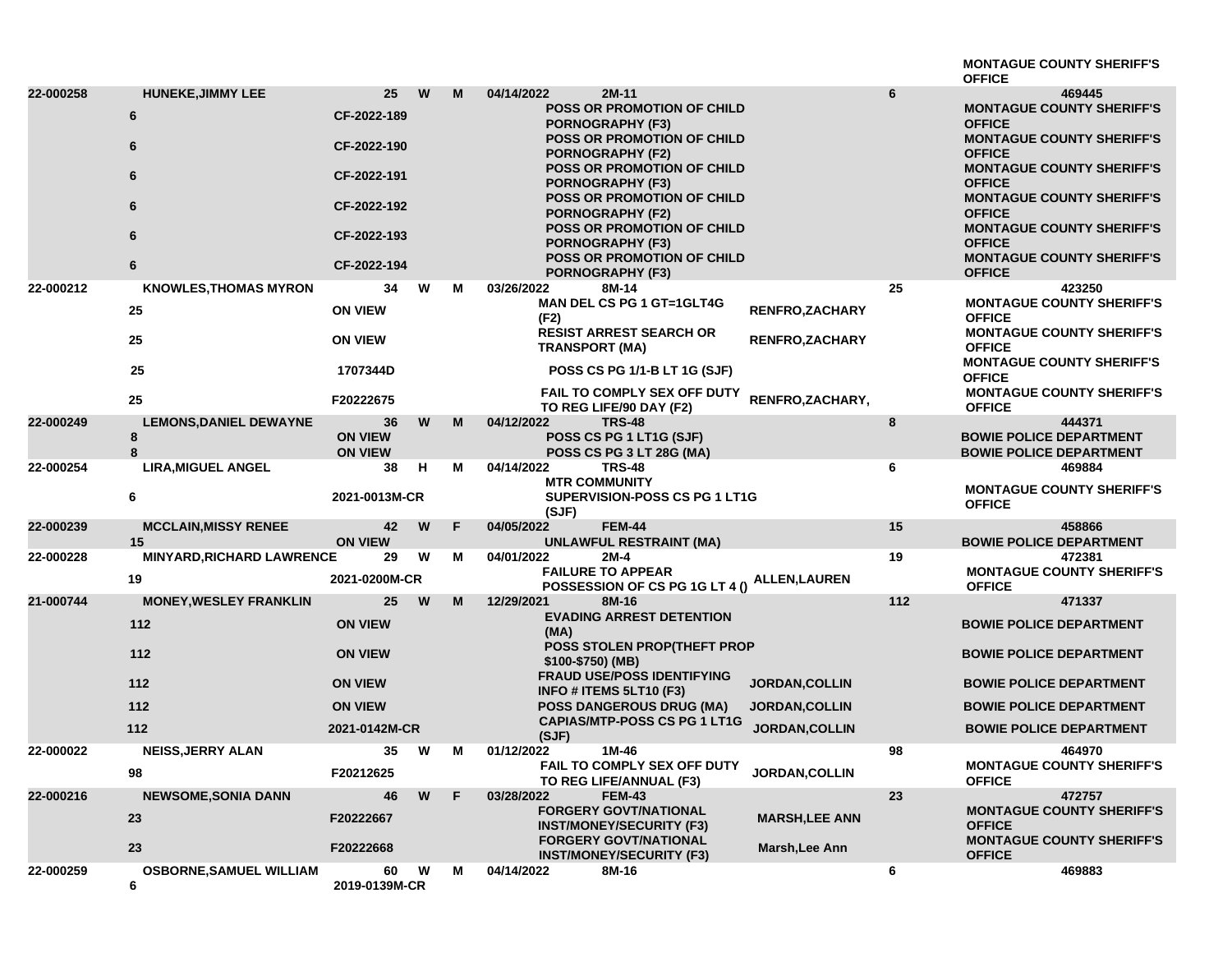|                        |                                                                                        |                                                                                                    |        |        |                                                                                                                                                                                                                                                                                                                                                                                                                                                             |                                                                         |         | <b>MONTAGUE COUNTY SHERIFF'S</b>                                                                                                                                                                                                                                                                                                                                                                    |
|------------------------|----------------------------------------------------------------------------------------|----------------------------------------------------------------------------------------------------|--------|--------|-------------------------------------------------------------------------------------------------------------------------------------------------------------------------------------------------------------------------------------------------------------------------------------------------------------------------------------------------------------------------------------------------------------------------------------------------------------|-------------------------------------------------------------------------|---------|-----------------------------------------------------------------------------------------------------------------------------------------------------------------------------------------------------------------------------------------------------------------------------------------------------------------------------------------------------------------------------------------------------|
| 22-000258<br>22-000212 | <b>HUNEKE, JIMMY LEE</b><br>6<br>6<br>6<br>6<br>6<br>6<br><b>KNOWLES, THOMAS MYRON</b> | 25<br>CF-2022-189<br>CF-2022-190<br>CF-2022-191<br>CF-2022-192<br>CF-2022-193<br>CF-2022-194<br>34 | W<br>W | M<br>м | 04/14/2022<br>$2M-11$<br>POSS OR PROMOTION OF CHILD<br><b>PORNOGRAPHY (F3)</b><br>POSS OR PROMOTION OF CHILD<br><b>PORNOGRAPHY (F2)</b><br><b>POSS OR PROMOTION OF CHILD</b><br><b>PORNOGRAPHY (F3)</b><br><b>POSS OR PROMOTION OF CHILD</b><br><b>PORNOGRAPHY (F2)</b><br>POSS OR PROMOTION OF CHILD<br><b>PORNOGRAPHY (F3)</b><br><b>POSS OR PROMOTION OF CHILD</b><br><b>PORNOGRAPHY (F3)</b><br>03/26/2022<br>8M-14<br><b>MAN DEL CS PG 1 GT=1GLT4G</b> |                                                                         | 6<br>25 | <b>OFFICE</b><br>469445<br><b>MONTAGUE COUNTY SHERIFF'S</b><br><b>OFFICE</b><br><b>MONTAGUE COUNTY SHERIFF'S</b><br><b>OFFICE</b><br><b>MONTAGUE COUNTY SHERIFF'S</b><br><b>OFFICE</b><br><b>MONTAGUE COUNTY SHERIFF'S</b><br><b>OFFICE</b><br><b>MONTAGUE COUNTY SHERIFF'S</b><br><b>OFFICE</b><br><b>MONTAGUE COUNTY SHERIFF'S</b><br><b>OFFICE</b><br>423250<br><b>MONTAGUE COUNTY SHERIFF'S</b> |
|                        | 25<br>25<br>25<br>25                                                                   | <b>ON VIEW</b><br><b>ON VIEW</b><br>1707344D<br>F20222675                                          |        |        | (F2)<br><b>RESIST ARREST SEARCH OR</b><br><b>TRANSPORT (MA)</b><br>POSS CS PG 1/1-B LT 1G (SJF)<br><b>FAIL TO COMPLY SEX OFF DUTY</b><br>TO REG LIFE/90 DAY (F2)                                                                                                                                                                                                                                                                                            | <b>RENFRO,ZACHARY</b><br><b>RENFRO, ZACHARY</b><br>RENFRO, ZACHARY,     |         | <b>OFFICE</b><br><b>MONTAGUE COUNTY SHERIFF'S</b><br><b>OFFICE</b><br><b>MONTAGUE COUNTY SHERIFF'S</b><br><b>OFFICE</b><br><b>MONTAGUE COUNTY SHERIFF'S</b><br><b>OFFICE</b>                                                                                                                                                                                                                        |
| 22-000249              | <b>LEMONS, DANIEL DEWAYNE</b><br>8<br>8                                                | 36<br><b>ON VIEW</b><br><b>ON VIEW</b>                                                             | W      | M      | 04/12/2022<br><b>TRS-48</b><br>POSS CS PG 1 LT1G (SJF)<br>POSS CS PG 3 LT 28G (MA)                                                                                                                                                                                                                                                                                                                                                                          |                                                                         | 8       | 444371<br><b>BOWIE POLICE DEPARTMENT</b><br><b>BOWIE POLICE DEPARTMENT</b>                                                                                                                                                                                                                                                                                                                          |
| 22-000254              | <b>LIRA, MIGUEL ANGEL</b><br>6                                                         | 38<br>2021-0013M-CR                                                                                | н      | м      | 04/14/2022<br><b>TRS-48</b><br><b>MTR COMMUNITY</b><br><b>SUPERVISION-POSS CS PG 1 LT1G</b><br>(SJF)                                                                                                                                                                                                                                                                                                                                                        |                                                                         | 6       | 469884<br><b>MONTAGUE COUNTY SHERIFF'S</b><br><b>OFFICE</b>                                                                                                                                                                                                                                                                                                                                         |
| 22-000239              | <b>MCCLAIN, MISSY RENEE</b><br>15                                                      | 42<br><b>ON VIEW</b>                                                                               | W      | F      | 04/05/2022<br><b>FEM-44</b><br><b>UNLAWFUL RESTRAINT (MA)</b>                                                                                                                                                                                                                                                                                                                                                                                               |                                                                         | 15      | 458866<br><b>BOWIE POLICE DEPARTMENT</b>                                                                                                                                                                                                                                                                                                                                                            |
| 22-000228              | <b>MINYARD, RICHARD LAWRENCE</b><br>19                                                 | 29<br>2021-0200M-CR                                                                                | W      | M      | 04/01/2022<br>2M-4<br><b>FAILURE TO APPEAR</b><br>POSSESSION OF CS PG 1G LT 4 ()                                                                                                                                                                                                                                                                                                                                                                            | ALLEN,LAUREN                                                            | 19      | 472381<br><b>MONTAGUE COUNTY SHERIFF'S</b><br><b>OFFICE</b>                                                                                                                                                                                                                                                                                                                                         |
| 21-000744              | <b>MONEY, WESLEY FRANKLIN</b><br>112<br>112<br>$112$<br>112<br>112                     | 25<br><b>ON VIEW</b><br><b>ON VIEW</b><br><b>ON VIEW</b><br><b>ON VIEW</b><br>2021-0142M-CR        | W      | M      | 12/29/2021<br>8M-16<br><b>EVADING ARREST DETENTION</b><br>(MA)<br><b>POSS STOLEN PROP(THEFT PROP</b><br>\$100-\$750) (MB)<br><b>FRAUD USE/POSS IDENTIFYING</b><br>INFO # ITEMS 5LT10 (F3)<br><b>POSS DANGEROUS DRUG (MA)</b><br><b>CAPIAS/MTP-POSS CS PG 1 LT1G</b><br>(SJF)                                                                                                                                                                                | <b>JORDAN, COLLIN</b><br><b>JORDAN, COLLIN</b><br><b>JORDAN, COLLIN</b> | 112     | 471337<br><b>BOWIE POLICE DEPARTMENT</b><br><b>BOWIE POLICE DEPARTMENT</b><br><b>BOWIE POLICE DEPARTMENT</b><br><b>BOWIE POLICE DEPARTMENT</b><br><b>BOWIE POLICE DEPARTMENT</b>                                                                                                                                                                                                                    |
| 22-000022              | <b>NEISS, JERRY ALAN</b><br>98                                                         | 35<br>F20212625                                                                                    | W      | М      | 01/12/2022<br>1M-46<br>FAIL TO COMPLY SEX OFF DUTY<br>TO REG LIFE/ANNUAL (F3)                                                                                                                                                                                                                                                                                                                                                                               | <b>JORDAN, COLLIN</b>                                                   | 98      | 464970<br><b>MONTAGUE COUNTY SHERIFF'S</b><br><b>OFFICE</b>                                                                                                                                                                                                                                                                                                                                         |
| 22-000216              | <b>NEWSOME, SONIA DANN</b><br>23<br>23                                                 | 46<br>F20222667<br>F20222668                                                                       | W      | F      | 03/28/2022<br><b>FEM-43</b><br><b>FORGERY GOVT/NATIONAL</b><br><b>INST/MONEY/SECURITY (F3)</b><br><b>FORGERY GOVT/NATIONAL</b><br><b>INST/MONEY/SECURITY (F3)</b>                                                                                                                                                                                                                                                                                           | <b>MARSH, LEE ANN</b><br>Marsh, Lee Ann                                 | 23      | 472757<br><b>MONTAGUE COUNTY SHERIFF'S</b><br><b>OFFICE</b><br><b>MONTAGUE COUNTY SHERIFF'S</b><br><b>OFFICE</b>                                                                                                                                                                                                                                                                                    |
| 22-000259              | <b>OSBORNE, SAMUEL WILLIAM</b><br>6                                                    | 60 W<br>2019-0139M-CR                                                                              |        | M      | 04/14/2022<br>8M-16                                                                                                                                                                                                                                                                                                                                                                                                                                         |                                                                         | 6       | 469883                                                                                                                                                                                                                                                                                                                                                                                              |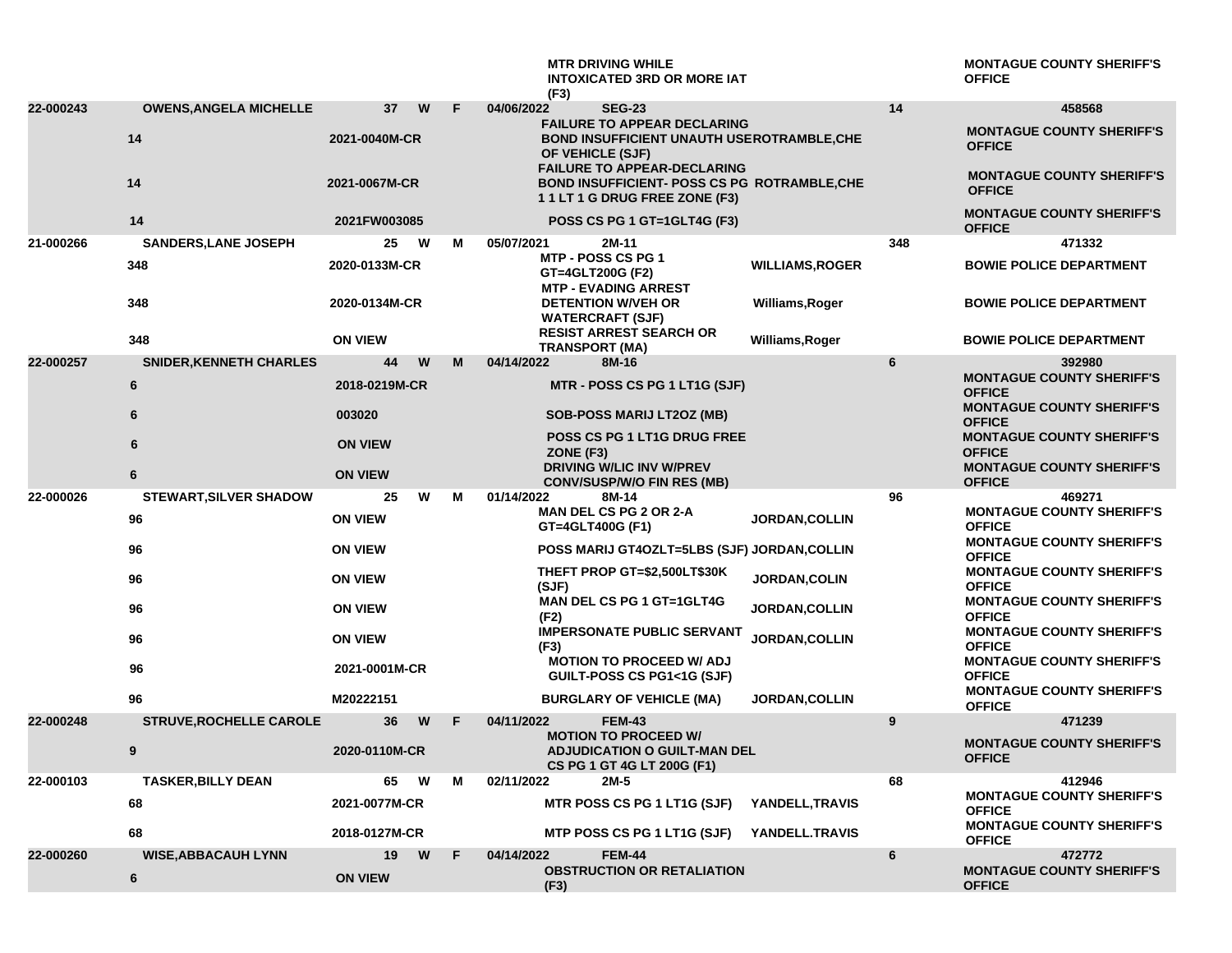|           |                                 |                      |        | <b>MTR DRIVING WHILE</b><br><b>INTOXICATED 3RD OR MORE IAT</b><br>(F3)                                                    |                        |     | <b>MONTAGUE COUNTY SHERIFF'S</b><br><b>OFFICE</b>                                     |
|-----------|---------------------------------|----------------------|--------|---------------------------------------------------------------------------------------------------------------------------|------------------------|-----|---------------------------------------------------------------------------------------|
| 22-000243 | <b>OWENS, ANGELA MICHELLE</b>   | 37                   | W<br>F | 04/06/2022<br><b>SEG-23</b>                                                                                               |                        | 14  | 458568                                                                                |
|           | 14                              | 2021-0040M-CR        |        | <b>FAILURE TO APPEAR DECLARING</b><br>BOND INSUFFICIENT UNAUTH USEROTRAMBLE, CHE<br>OF VEHICLE (SJF)                      |                        |     | <b>MONTAGUE COUNTY SHERIFF'S</b><br><b>OFFICE</b>                                     |
|           | 14                              | 2021-0067M-CR        |        | <b>FAILURE TO APPEAR-DECLARING</b><br><b>BOND INSUFFICIENT- POSS CS PG ROTRAMBLE, CHE</b><br>11LT 1 G DRUG FREE ZONE (F3) |                        |     | <b>MONTAGUE COUNTY SHERIFF'S</b><br><b>OFFICE</b>                                     |
|           | 14                              | 2021FW003085         |        | POSS CS PG 1 GT=1GLT4G (F3)                                                                                               |                        |     | <b>MONTAGUE COUNTY SHERIFF'S</b><br><b>OFFICE</b>                                     |
| 21-000266 | <b>SANDERS, LANE JOSEPH</b>     | 25                   | W<br>м | 05/07/2021<br>2M-11                                                                                                       |                        | 348 | 471332                                                                                |
|           | 348                             | 2020-0133M-CR        |        | MTP - POSS CS PG 1<br>GT=4GLT200G (F2)<br><b>MTP - EVADING ARREST</b>                                                     | <b>WILLIAMS, ROGER</b> |     | <b>BOWIE POLICE DEPARTMENT</b>                                                        |
|           | 348                             | 2020-0134M-CR        |        | <b>DETENTION W/VEH OR</b><br><b>WATERCRAFT (SJF)</b><br><b>RESIST ARREST SEARCH OR</b>                                    | Williams, Roger        |     | <b>BOWIE POLICE DEPARTMENT</b>                                                        |
|           | 348                             | <b>ON VIEW</b>       |        | <b>TRANSPORT (MA)</b>                                                                                                     | Williams, Roger        |     | <b>BOWIE POLICE DEPARTMENT</b>                                                        |
| 22-000257 | <b>SNIDER, KENNETH CHARLES</b>  | 44                   | W<br>М | 04/14/2022<br>8M-16                                                                                                       |                        | 6   | 392980<br><b>MONTAGUE COUNTY SHERIFF'S</b>                                            |
|           | 6                               | 2018-0219M-CR        |        | MTR - POSS CS PG 1 LT1G (SJF)                                                                                             |                        |     | <b>OFFICE</b>                                                                         |
|           | 6                               | 003020               |        | <b>SOB-POSS MARIJ LT2OZ (MB)</b>                                                                                          |                        |     | <b>MONTAGUE COUNTY SHERIFF'S</b><br><b>OFFICE</b>                                     |
|           | 6                               | <b>ON VIEW</b>       |        | <b>POSS CS PG 1 LT1G DRUG FREE</b><br>ZONE (F3)                                                                           |                        |     | <b>MONTAGUE COUNTY SHERIFF'S</b><br><b>OFFICE</b>                                     |
|           | 6                               | <b>ON VIEW</b>       |        | <b>DRIVING W/LIC INV W/PREV</b><br><b>CONV/SUSP/W/O FIN RES (MB)</b>                                                      |                        |     | <b>MONTAGUE COUNTY SHERIFF'S</b><br><b>OFFICE</b>                                     |
| 22-000026 | <b>STEWART, SILVER SHADOW</b>   | 25                   | W<br>М | 01/14/2022<br>8M-14                                                                                                       |                        | 96  | 469271<br><b>MONTAGUE COUNTY SHERIFF'S</b>                                            |
|           | 96                              | <b>ON VIEW</b>       |        | <b>MAN DEL CS PG 2 OR 2-A</b><br>GT=4GLT400G (F1)                                                                         | <b>JORDAN, COLLIN</b>  |     | <b>OFFICE</b><br><b>MONTAGUE COUNTY SHERIFF'S</b>                                     |
|           | 96                              | <b>ON VIEW</b>       |        | <b>POSS MARIJ GT4OZLT=5LBS (SJF) JORDAN,COLLIN</b>                                                                        |                        |     | <b>OFFICE</b>                                                                         |
|           | 96                              | <b>ON VIEW</b>       |        | THEFT PROP GT=\$2,500LT\$30K<br>(SJF)                                                                                     | JORDAN, COLIN          |     | <b>MONTAGUE COUNTY SHERIFF'S</b><br><b>OFFICE</b>                                     |
|           | 96                              | <b>ON VIEW</b>       |        | MAN DEL CS PG 1 GT=1GLT4G<br>(F2)                                                                                         | <b>JORDAN, COLLIN</b>  |     | <b>MONTAGUE COUNTY SHERIFF'S</b><br><b>OFFICE</b>                                     |
|           | 96                              | <b>ON VIEW</b>       |        | <b>IMPERSONATE PUBLIC SERVANT</b><br>(F3)                                                                                 | <b>JORDAN,COLLIN</b>   |     | <b>MONTAGUE COUNTY SHERIFF'S</b><br><b>OFFICE</b>                                     |
|           | 96                              | 2021-0001M-CR        |        | <b>MOTION TO PROCEED W/ ADJ</b><br>GUILT-POSS CS PG1<1G (SJF)                                                             |                        |     | <b>MONTAGUE COUNTY SHERIFF'S</b><br><b>OFFICE</b>                                     |
|           | 96                              | M20222151            |        | <b>BURGLARY OF VEHICLE (MA)</b>                                                                                           | <b>JORDAN, COLLIN</b>  |     | <b>MONTAGUE COUNTY SHERIFF'S</b><br><b>OFFICE</b>                                     |
| 22-000248 | <b>STRUVE, ROCHELLE CAROLE</b>  | 36                   | E<br>W | 04/11/2022<br><b>FEM-43</b>                                                                                               |                        | 9   | 471239                                                                                |
|           | 9                               | 2020-0110M-CR        |        | <b>MOTION TO PROCEED W/</b><br><b>ADJUDICATION O GUILT-MAN DEL</b><br>CS PG 1 GT 4G LT 200G (F1)                          |                        |     | <b>MONTAGUE COUNTY SHERIFF'S</b><br><b>OFFICE</b>                                     |
| 22-000103 | <b>TASKER, BILLY DEAN</b>       | 65                   | W<br>м | 02/11/2022<br>2M-5                                                                                                        |                        | 68  | 412946                                                                                |
|           | 68                              | 2021-0077M-CR        |        | MTR POSS CS PG 1 LT1G (SJF)                                                                                               | YANDELL, TRAVIS        |     | <b>MONTAGUE COUNTY SHERIFF'S</b><br><b>OFFICE</b><br><b>MONTAGUE COUNTY SHERIFF'S</b> |
|           | 68                              | 2018-0127M-CR        |        | MTP POSS CS PG 1 LT1G (SJF)                                                                                               | YANDELL.TRAVIS         |     | <b>OFFICE</b>                                                                         |
| 22-000260 | <b>WISE, ABBACAUH LYNN</b><br>6 | 19<br><b>ON VIEW</b> | W<br>F | <b>FEM-44</b><br>04/14/2022<br><b>OBSTRUCTION OR RETALIATION</b><br>(F3)                                                  |                        | 6   | 472772<br><b>MONTAGUE COUNTY SHERIFF'S</b><br><b>OFFICE</b>                           |